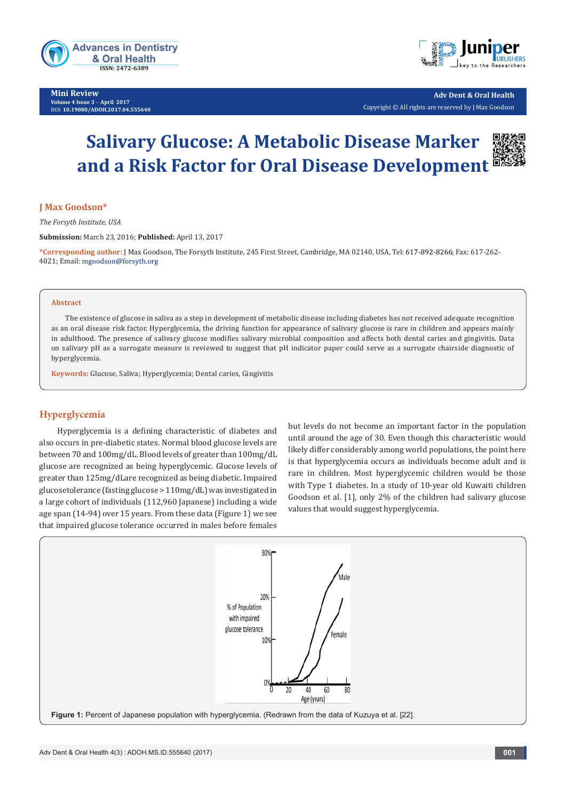

**Mini Review Volume 4 Issue 3** - **April 2017** DOI: **[10.19080/ADOH.2017.04.555640](http://dx.doi.org/10.19080/ADOH.2017.04.555640)**



**Adv Dent & Oral Health**  Copyright © All rights are reserved by J Max Goodson

# **Salivary Glucose: A Metabolic Disease Marker and a Risk Factor for Oral Disease Development**

## **J Max Goodson\***

*The Forsyth Institute, USA*

**Submission:** March 23, 2016; **Published:** April 13, 2017

\*Corresponding author: J Max Goodson, The Forsyth Institute, 245 First Street, Cambridge, MA 02140, USA, Tel: 617-892-8266; Fax: 617-262-4021; Email: mgoodson@forsyth.org

#### **Abstract**

The existence of glucose in saliva as a step in development of metabolic disease including diabetes has not received adequate recognition as an oral disease risk factor. Hyperglycemia, the driving function for appearance of salivary glucose is rare in children and appears mainly in adulthood. The presence of salivary glucose modifies salivary microbial composition and affects both dental caries and gingivitis. Data on salivary pH as a surrogate measure is reviewed to suggest that pH indicator paper could serve as a surrogate chairside diagnostic of hyperglycemia.

**Keywords:** Glucose, Saliva; Hyperglycemia; Dental caries, Gingivitis

## **Hyperglycemia**

Hyperglycemia is a defining characteristic of diabetes and also occurs in pre-diabetic states. Normal blood glucose levels are between 70 and 100mg/dL. Blood levels of greater than 100mg/dL glucose are recognized as being hyperglycemic. Glucose levels of greater than 125mg/dLare recognized as being diabetic. Impaired glucosetolerance (fasting glucose > 110mg/dL) was investigated in a large cohort of individuals (112,960 Japanese) including a wide age span (14-94) over 15 years. From these data (Figure 1) we see that impaired glucose tolerance occurred in males before females

but levels do not become an important factor in the population until around the age of 30. Even though this characteristic would likely differ considerably among world populations, the point here is that hyperglycemia occurs as individuals become adult and is rare in children. Most hyperglycemic children would be those with Type 1 diabetes. In a study of 10-year old Kuwaiti children Goodson et al. [1], only 2% of the children had salivary glucose values that would suggest hyperglycemia.

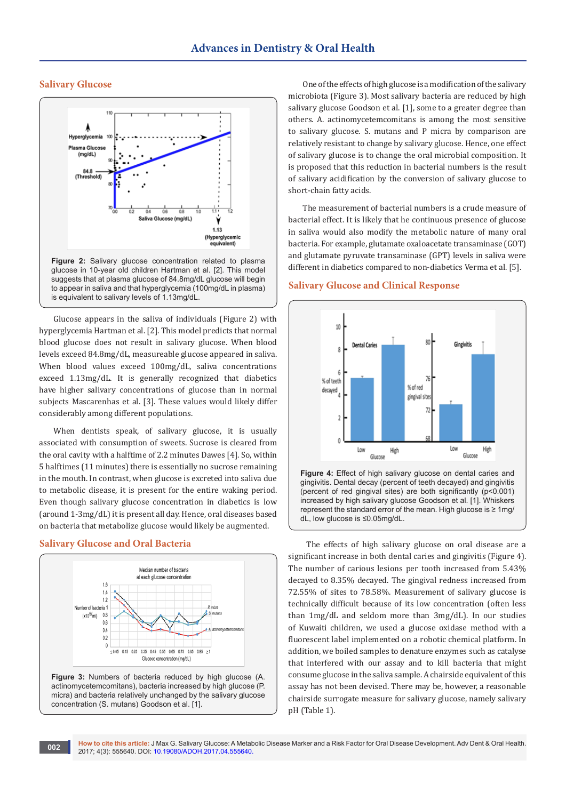### **Salivary Glucose**



Glucose appears in the saliva of individuals (Figure 2) with hyperglycemia Hartman et al. [2]. This model predicts that normal blood glucose does not result in salivary glucose. When blood levels exceed 84.8mg/dL, measureable glucose appeared in saliva. When blood values exceed 100mg/dL, saliva concentrations exceed 1.13mg/dL. It is generally recognized that diabetics have higher salivary concentrations of glucose than in normal subjects Mascarenhas et al. [3]. These values would likely differ considerably among different populations.

When dentists speak, of salivary glucose, it is usually associated with consumption of sweets. Sucrose is cleared from the oral cavity with a halftime of 2.2 minutes Dawes [4]. So, within 5 halftimes (11 minutes) there is essentially no sucrose remaining in the mouth. In contrast, when glucose is excreted into saliva due to metabolic disease, it is present for the entire waking period. Even though salivary glucose concentration in diabetics is low (around 1-3mg/dL) it is present all day. Hence, oral diseases based on bacteria that metabolize glucose would likely be augmented.

#### **Salivary Glucose and Oral Bacteria**



**Figure 3:** Numbers of bacteria reduced by high glucose (A. actinomycetemcomitans), bacteria increased by high glucose (P. micra) and bacteria relatively unchanged by the salivary glucose concentration (S. mutans) Goodson et al. [1].

One of the effects of high glucose is a modification of the salivary microbiota (Figure 3). Most salivary bacteria are reduced by high salivary glucose Goodson et al. [1], some to a greater degree than others. A. actinomycetemcomitans is among the most sensitive to salivary glucose. S. mutans and P micra by comparison are relatively resistant to change by salivary glucose. Hence, one effect of salivary glucose is to change the oral microbial composition. It is proposed that this reduction in bacterial numbers is the result of salivary acidification by the conversion of salivary glucose to short-chain fatty acids.

The measurement of bacterial numbers is a crude measure of bacterial effect. It is likely that he continuous presence of glucose in saliva would also modify the metabolic nature of many oral bacteria. For example, glutamate oxaloacetate transaminase (GOT) and glutamate pyruvate transaminase (GPT) levels in saliva were different in diabetics compared to non-diabetics Verma et al. [5].

#### **Salivary Glucose and Clinical Response**



**Figure 4:** Effect of high salivary glucose on dental caries and gingivitis. Dental decay (percent of teeth decayed) and gingivitis (percent of red gingival sites) are both significantly (p<0.001) increased by high salivary glucose Goodson et al. [1]. Whiskers represent the standard error of the mean. High glucose is ≥ 1mg/ dL, low glucose is ≤0.05mg/dL.

 The effects of high salivary glucose on oral disease are a significant increase in both dental caries and gingivitis (Figure 4). The number of carious lesions per tooth increased from 5.43% decayed to 8.35% decayed. The gingival redness increased from 72.55% of sites to 78.58%. Measurement of salivary glucose is technically difficult because of its low concentration (often less than 1mg/dL and seldom more than 3mg/dL). In our studies of Kuwaiti children, we used a glucose oxidase method with a fluorescent label implemented on a robotic chemical platform. In addition, we boiled samples to denature enzymes such as catalyse that interfered with our assay and to kill bacteria that might consume glucose in the saliva sample. A chairside equivalent of this assay has not been devised. There may be, however, a reasonable chairside surrogate measure for salivary glucose, namely salivary pH (Table 1).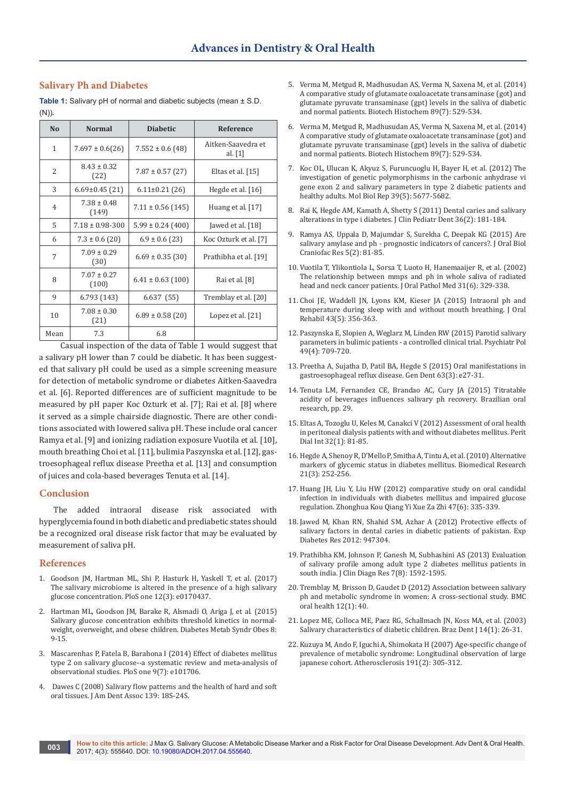## **Salivary Ph and Diabetes**

**Table 1:** Salivary pH of normal and diabetic subjects (mean ± S.D. (N)).

| N <sub>o</sub> | <b>Normal</b>            | <b>Diabetic</b>       | Reference                       |
|----------------|--------------------------|-----------------------|---------------------------------|
| $\mathbf{1}$   | $7.697 \pm 0.6(26)$      | $7.552 \pm 0.6$ (48)  | Aitken-Saavedra et<br>al. $[1]$ |
| 2              | $8.43 \pm 0.32$<br>(22)  | $7.87 \pm 0.57$ (27)  | Eltas et al. [15]               |
| 3              | $6.69 \pm 0.45$ (21)     | $6.11 \pm 0.21$ (26)  | Hegde et al. [16]               |
| $\overline{4}$ | $7.38 \pm 0.48$<br>(149) | $7.11 \pm 0.56$ (145) | Huang et al. [17]               |
| 5              | $7.18 \pm 0.98 - 300$    | $5.99 \pm 0.24$ (400) | Jawed et al. [18]               |
| 6              | $7.3 \pm 0.6$ (20)       | $6.9 \pm 0.6$ (23)    | Koc Ozturk et al. [7]           |
| $\overline{7}$ | $7.09 \pm 0.29$<br>(30)  | $6.69 \pm 0.35$ (30)  | Prathibha et al. [19]           |
| 8              | $7.07 \pm 0.27$<br>(100) | $6.41 \pm 0.63$ (100) | Rai et al. [8]                  |
| 9              | 6.793 (143)              | 6.637(55)             | Tremblay et al. [20]            |
| 10             | $7.08 \pm 0.30$<br>(21)  | $6.89 \pm 0.58$ (20)  | Lopez et al. $[21]$             |
| Mean           | 7.3                      | 6.8                   |                                 |

 Casual inspection of the data of Table 1 would suggest that a salivary pH lower than 7 could be diabetic. It has been suggested that salivary pH could be used as a simple screening measure for detection of metabolic syndrome or diabetes Aitken-Saavedra et al. [6]. Reported differences are of sufficient magnitude to be measured by pH paper Koc Ozturk et al. [7]; Rai et al. [8] where it served as a simple chairside diagnostic. There are other conditions associated with lowered saliva pH. These include oral cancer Ramya et al. [9] and ionizing radiation exposure Vuotila et al. [10], mouth breathing Choi et al. [11], bulimia Paszynska et al. [12], gastroesophageal reflux disease Preetha et al. [13] and consumption of juices and cola-based beverages Tenuta et al. [14].

#### **Conclusion**

The added intraoral disease risk associated with hyperglycemia found in both diabetic and prediabetic states should be a recognized oral disease risk factor that may be evaluated by measurement of saliva pH.

#### **References**

- 1. [Goodson JM, Hartman ML, Shi P, Hasturk H, Yaskell T, et al. \(2017\)](https://www.ncbi.nlm.nih.gov/pubmed/28249034)  [The salivary microbiome is altered in the presence of a high salivary](https://www.ncbi.nlm.nih.gov/pubmed/28249034)  [glucose concentration. PloS one 12\(3\): e0170437.](https://www.ncbi.nlm.nih.gov/pubmed/28249034)
- 2. [Hartman ML, Goodson JM, Barake R, Alsmadi O, Ariga J, et al. \(2015\)](https://www.ncbi.nlm.nih.gov/pubmed/25565874)  [Salivary glucose concentration exhibits threshold kinetics in normal](https://www.ncbi.nlm.nih.gov/pubmed/25565874)[weight, overweight, and obese children. Diabetes Metab Syndr Obes 8:](https://www.ncbi.nlm.nih.gov/pubmed/25565874)  [9-15.](https://www.ncbi.nlm.nih.gov/pubmed/25565874)
- 3. [Mascarenhas P, Fatela B, Barahona I \(2014\) Effect of diabetes mellitus](https://www.ncbi.nlm.nih.gov/pubmed/25025218)  [type 2 on salivary glucose--a systematic review and meta-analysis of](https://www.ncbi.nlm.nih.gov/pubmed/25025218)  [observational studies. PloS one 9\(7\): e101706.](https://www.ncbi.nlm.nih.gov/pubmed/25025218)
- 4. [Dawes C \(2008\) Salivary flow patterns and the health of hard and soft](https://www.ncbi.nlm.nih.gov/pubmed/18460676)  [oral tissues. J Am Dent Assoc 139: 18S-24S.](https://www.ncbi.nlm.nih.gov/pubmed/18460676)
- 5. [Verma M, Metgud R, Madhusudan AS, Verma N, Saxena M, et al. \(2014\)](https://www.ncbi.nlm.nih.gov/pubmed/24849491)  [A comparative study of glutamate oxaloacetate transaminase \(got\) and](https://www.ncbi.nlm.nih.gov/pubmed/24849491)  [glutamate pyruvate transaminase \(gpt\) levels in the saliva of diabetic](https://www.ncbi.nlm.nih.gov/pubmed/24849491)  [and normal patients. Biotech Histochem 89\(7\): 529-534.](https://www.ncbi.nlm.nih.gov/pubmed/24849491)
- 6. [Verma M, Metgud R, Madhusudan AS, Verma N, Saxena M, et al. \(2014\)](https://www.ncbi.nlm.nih.gov/pubmed/24849491)  [A comparative study of glutamate oxaloacetate transaminase \(got\) and](https://www.ncbi.nlm.nih.gov/pubmed/24849491)  [glutamate pyruvate transaminase \(gpt\) levels in the saliva of diabetic](https://www.ncbi.nlm.nih.gov/pubmed/24849491)  [and normal patients. Biotech Histochem 89\(7\): 529-534.](https://www.ncbi.nlm.nih.gov/pubmed/24849491)
- 7. [Koc OL, Ulucan K, Akyuz S, Furuncuoglu H, Bayer H, et al. \(2012\) The](https://www.ncbi.nlm.nih.gov/pubmed/22198626)  [investigation of genetic polymorphisms in the carbonic anhydrase vi](https://www.ncbi.nlm.nih.gov/pubmed/22198626)  [gene exon 2 and salivary parameters in type 2 diabetic patients and](https://www.ncbi.nlm.nih.gov/pubmed/22198626)  [healthy adults. Mol Biol Rep 39\(5\): 5677-5682.](https://www.ncbi.nlm.nih.gov/pubmed/22198626)
- 8. [Rai K, Hegde AM, Kamath A, Shetty S \(2011\) Dental caries and salivary](https://www.ncbi.nlm.nih.gov/pubmed/22524081)  [alterations in type i diabetes. J Clin Pediatr Dent 36\(2\): 181-184.](https://www.ncbi.nlm.nih.gov/pubmed/22524081)
- 9. [Ramya AS, Uppala D, Majumdar S, Surekha C, Deepak KG \(2015\) Are](https://www.ncbi.nlm.nih.gov/pubmed/26258019)  [salivary amylase and ph - prognostic indicators of cancers?. J Oral Biol](https://www.ncbi.nlm.nih.gov/pubmed/26258019)  [Craniofac Res 5\(2\): 81-85.](https://www.ncbi.nlm.nih.gov/pubmed/26258019)
- 10. Vuotila T, Ylikontiola L, Sorsa T, Luoto H, Hanemaaijer R, et al. (2002) The relationship between mmps and ph in whole saliva of radiated head and neck cancer patients. J Oral Pathol Med 31(6): 329-338.
- 11. [Choi JE, Waddell JN, Lyons KM, Kieser JA \(2015\) Intraoral ph and](https://www.ncbi.nlm.nih.gov/pubmed/26666708)  [temperature during sleep with and without mouth breathing. J Oral](https://www.ncbi.nlm.nih.gov/pubmed/26666708)  [Rehabil 43\(5\): 356-363.](https://www.ncbi.nlm.nih.gov/pubmed/26666708)
- 12. [Paszynska E, Slopien A, Weglarz M, Linden RW \(2015\) Parotid salivary](https://www.ncbi.nlm.nih.gov/pubmed/26488347)  [parameters in bulimic patients - a controlled clinical trial. Psychiatr Pol](https://www.ncbi.nlm.nih.gov/pubmed/26488347)  [49\(4\): 709-720.](https://www.ncbi.nlm.nih.gov/pubmed/26488347)
- 13. [Preetha A, Sujatha D, Patil BA, Hegde S \(2015\) Oral manifestations in](https://www.ncbi.nlm.nih.gov/pubmed/25945775)  [gastroesophageal reflux disease. Gen Dent 63\(3\): e27-31.](https://www.ncbi.nlm.nih.gov/pubmed/25945775)
- 14. [Tenuta LM, Fernandez CE, Brandao AC, Cury JA \(2015\) Titratable](https://www.ncbi.nlm.nih.gov/pubmed/25715032)  [acidity of beverages influences salivary ph recovery. Brazilian oral](https://www.ncbi.nlm.nih.gov/pubmed/25715032)  [research, pp. 29.](https://www.ncbi.nlm.nih.gov/pubmed/25715032)
- 15. [Eltas A, Tozoglu U, Keles M, Canakci V \(2012\) Assessment of oral health](https://www.ncbi.nlm.nih.gov/pubmed/21632442/)  [in peritoneal dialysis patients with and without diabetes mellitus. Perit](https://www.ncbi.nlm.nih.gov/pubmed/21632442/)  [Dial Int 32\(1\): 81-85.](https://www.ncbi.nlm.nih.gov/pubmed/21632442/)
- 16. [Hegde A, Shenoy R, D'Mello P, Smitha A, Tintu A, et al. \(2010\) Alternative](http://www.alliedacademies.org/articles/alternative-markers-of-glycemic-status-in-diabetes-mellitus.pdf)  [markers of glycemic status in diabetes mellitus. Biomedical Research](http://www.alliedacademies.org/articles/alternative-markers-of-glycemic-status-in-diabetes-mellitus.pdf)  [21\(3\): 252-256.](http://www.alliedacademies.org/articles/alternative-markers-of-glycemic-status-in-diabetes-mellitus.pdf)
- 17. [Huang JH, Liu Y, Liu HW \(2012\) comparative study on oral candidal](https://www.ncbi.nlm.nih.gov/pubmed/22932482)  [infection in individuals with diabetes mellitus and impaired glucose](https://www.ncbi.nlm.nih.gov/pubmed/22932482)  [regulation. Zhonghua Kou Qiang Yi Xue Za Zhi 47\(6\): 335-339.](https://www.ncbi.nlm.nih.gov/pubmed/22932482)
- 18. [Jawed M, Khan RN, Shahid SM, Azhar A \(2012\) Protective effects of](https://www.ncbi.nlm.nih.gov/pubmed/22778718)  [salivary factors in dental caries in diabetic patients of pakistan. Exp](https://www.ncbi.nlm.nih.gov/pubmed/22778718)  [Diabetes Res 2012: 947304.](https://www.ncbi.nlm.nih.gov/pubmed/22778718)
- 19. [Prathibha KM, Johnson P, Ganesh M, Subhashini AS \(2013\) Evaluation](https://www.ncbi.nlm.nih.gov/pubmed/24086848/)  [of salivary profile among adult type 2 diabetes mellitus patients in](https://www.ncbi.nlm.nih.gov/pubmed/24086848/)  [south india. J Clin Diagn Res 7\(8\): 1592-1595.](https://www.ncbi.nlm.nih.gov/pubmed/24086848/)
- 20. [Tremblay M, Brisson D, Gaudet D \(2012\) Association between salivary](https://www.ncbi.nlm.nih.gov/pubmed/22958748)  [ph and metabolic syndrome in women: A cross-sectional study. BMC](https://www.ncbi.nlm.nih.gov/pubmed/22958748)  [oral health 12\(1\): 40.](https://www.ncbi.nlm.nih.gov/pubmed/22958748)
- 21. [Lopez ME, Colloca ME, Paez RG, Schallmach JN, Koss MA, et al. \(2003\)](https://www.ncbi.nlm.nih.gov/pubmed/12656461)  [Salivary characteristics of diabetic children. Braz Dent J 14\(1\): 26-31.](https://www.ncbi.nlm.nih.gov/pubmed/12656461)
- 22. [Kuzuya M, Ando F, Iguchi A, Shimokata H \(2007\) Age-specific change of](https://www.ncbi.nlm.nih.gov/pubmed/16828779)  [prevalence of metabolic syndrome: Longitudinal observation of large](https://www.ncbi.nlm.nih.gov/pubmed/16828779)  [japanese cohort. Atherosclerosis 191\(2\): 305-312.](https://www.ncbi.nlm.nih.gov/pubmed/16828779)